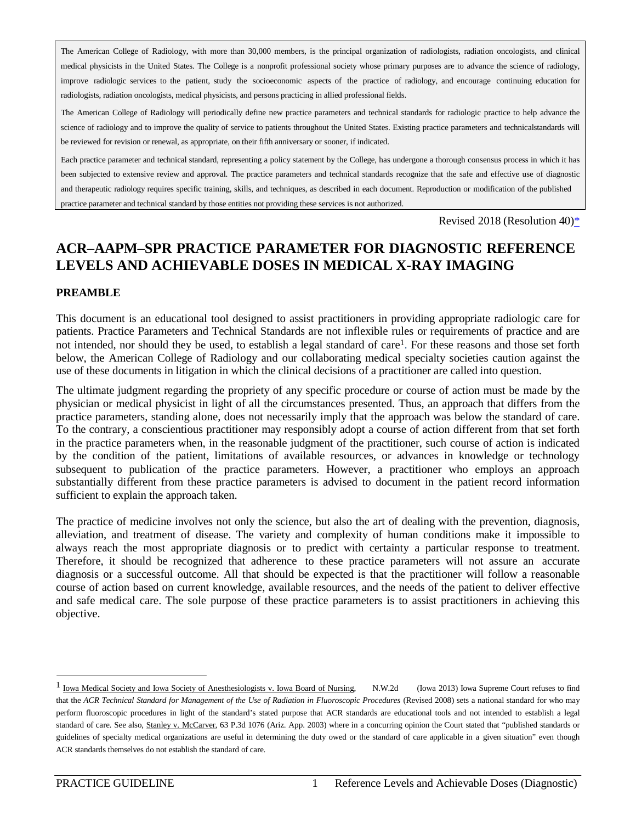The American College of Radiology, with more than 30,000 members, is the principal organization of radiologists, radiation oncologists, and clinical medical physicists in the United States. The College is a nonprofit professional society whose primary purposes are to advance the science of radiology, improve radiologic services to the patient, study the socioeconomic aspects of the practice of radiology, and encourage continuing education for radiologists, radiation oncologists, medical physicists, and persons practicing in allied professional fields.

The American College of Radiology will periodically define new practice parameters and technical standards for radiologic practice to help advance the science of radiology and to improve the quality of service to patients throughout the United States. Existing practice parameters and technicalstandards will be reviewed for revision or renewal, as appropriate, on their fifth anniversary or sooner, if indicated.

Each practice parameter and technical standard, representing a policy statement by the College, has undergone a thorough consensus process in which it has been subjected to extensive review and approval. The practice parameters and technical standards recognize that the safe and effective use of diagnostic and therapeutic radiology requires specific training, skills, and techniques, as described in each document. Reproduction or modification of the published practice parameter and technical standard by those entities not providing these services is not authorized.

Revised 2018 (Resolution 40[\)\\*](#page-11-0)

# **ACR–AAPM–SPR PRACTICE PARAMETER FOR DIAGNOSTIC REFERENCE LEVELS AND ACHIEVABLE DOSES IN MEDICAL X-RAY IMAGING**

#### **PREAMBLE**

This document is an educational tool designed to assist practitioners in providing appropriate radiologic care for patients. Practice Parameters and Technical Standards are not inflexible rules or requirements of practice and are not intended, nor should they be used, to establish a legal standard of care<sup>1</sup>. For these reasons and those set forth below, the American College of Radiology and our collaborating medical specialty societies caution against the use of these documents in litigation in which the clinical decisions of a practitioner are called into question.

The ultimate judgment regarding the propriety of any specific procedure or course of action must be made by the physician or medical physicist in light of all the circumstances presented. Thus, an approach that differs from the practice parameters, standing alone, does not necessarily imply that the approach was below the standard of care. To the contrary, a conscientious practitioner may responsibly adopt a course of action different from that set forth in the practice parameters when, in the reasonable judgment of the practitioner, such course of action is indicated by the condition of the patient, limitations of available resources, or advances in knowledge or technology subsequent to publication of the practice parameters. However, a practitioner who employs an approach substantially different from these practice parameters is advised to document in the patient record information sufficient to explain the approach taken.

The practice of medicine involves not only the science, but also the art of dealing with the prevention, diagnosis, alleviation, and treatment of disease. The variety and complexity of human conditions make it impossible to always reach the most appropriate diagnosis or to predict with certainty a particular response to treatment. Therefore, it should be recognized that adherence to these practice parameters will not assure an accurate diagnosis or a successful outcome. All that should be expected is that the practitioner will follow a reasonable course of action based on current knowledge, available resources, and the needs of the patient to deliver effective and safe medical care. The sole purpose of these practice parameters is to assist practitioners in achieving this objective.

<sup>&</sup>lt;sup>1</sup> Iowa Medical Society and Iowa Society of Anesthesiologists v. Iowa Board of Nursing, N.W.2d (Iowa 2013) Iowa Supreme Court refuses to find that the ACR Technical Standard for Management of the Use of Radiation in Fluoroscopic Procedures (Revised 2008) sets a national standard for who may perform fluoroscopic procedures in light of the standard's stated purpose that ACR standards are educational tools and not intended to establish a legal standard of care. See also, Stanley v. McCarver, 63 P.3d 1076 (Ariz. App. 2003) where in a concurring opinion the Court stated that "published standards or guidelines of specialty medical organizations are useful in determining the duty owed or the standard of care applicable in a given situation" even though ACR standards themselves do not establish the standard of care.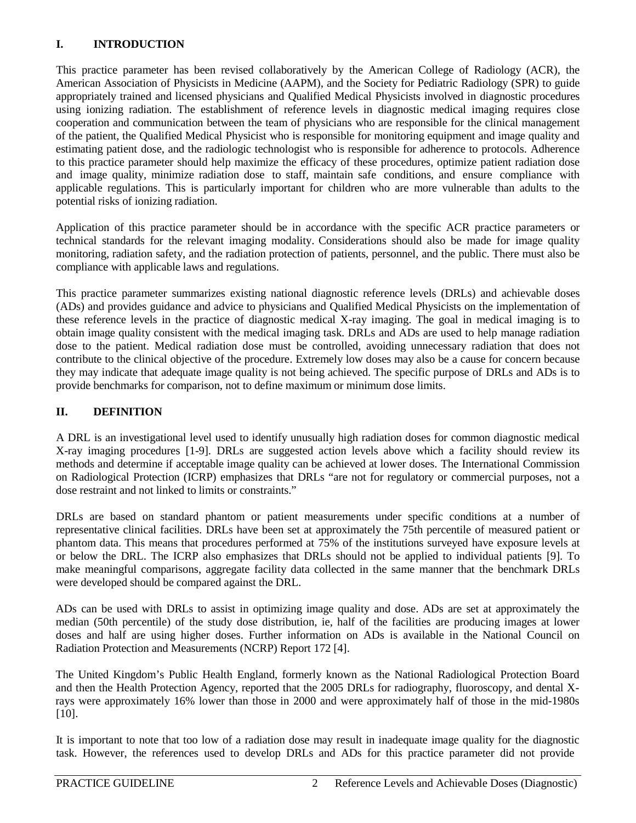# **I. INTRODUCTION**

This practice parameter has been revised collaboratively by the American College of Radiology (ACR), the American Association of Physicists in Medicine (AAPM), and the Society for Pediatric Radiology (SPR) to guide appropriately trained and licensed physicians and Qualified Medical Physicists involved in diagnostic procedures using ionizing radiation. The establishment of reference levels in diagnostic medical imaging requires close cooperation and communication between the team of physicians who are responsible for the clinical management of the patient, the Qualified Medical Physicist who is responsible for monitoring equipment and image quality and estimating patient dose, and the radiologic technologist who is responsible for adherence to protocols. Adherence to this practice parameter should help maximize the efficacy of these procedures, optimize patient radiation dose and image quality, minimize radiation dose to staff, maintain safe conditions, and ensure compliance with applicable regulations. This is particularly important for children who are more vulnerable than adults to the potential risks of ionizing radiation.

Application of this practice parameter should be in accordance with the specific ACR practice parameters or technical standards for the relevant imaging modality. Considerations should also be made for image quality monitoring, radiation safety, and the radiation protection of patients, personnel, and the public. There must also be compliance with applicable laws and regulations.

This practice parameter summarizes existing national diagnostic reference levels (DRLs) and achievable doses (ADs) and provides guidance and advice to physicians and Qualified Medical Physicists on the implementation of these reference levels in the practice of diagnostic medical X-ray imaging. The goal in medical imaging is to obtain image quality consistent with the medical imaging task. DRLs and ADs are used to help manage radiation dose to the patient. Medical radiation dose must be controlled, avoiding unnecessary radiation that does not contribute to the clinical objective of the procedure. Extremely low doses may also be a cause for concern because they may indicate that adequate image quality is not being achieved. The specific purpose of DRLs and ADs is to provide benchmarks for comparison, not to define maximum or minimum dose limits.

# **II. DEFINITION**

A DRL is an investigational level used to identify unusually high radiation doses for common diagnostic medical X-ray imaging procedures [\[1-9\]](#page-9-0). DRLs are suggested action levels above which a facility should review its methods and determine if acceptable image quality can be achieved at lower doses. The International Commission on Radiological Protection (ICRP) emphasizes that DRLs "are not for regulatory or commercial purposes, not a dose restraint and not linked to limits or constraints."

DRLs are based on standard phantom or patient measurements under specific conditions at a number of representative clinical facilities. DRLs have been set at approximately the 75th percentile of measured patient or phantom data. This means that procedures performed at 75% of the institutions surveyed have exposure levels at or below the DRL. The ICRP also emphasizes that DRLs should not be applied to individual patients [\[9\]](#page-10-0). To make meaningful comparisons, aggregate facility data collected in the same manner that the benchmark DRLs were developed should be compared against the DRL.

ADs can be used with DRLs to assist in optimizing image quality and dose. ADs are set at approximately the median (50th percentile) of the study dose distribution, ie, half of the facilities are producing images at lower doses and half are using higher doses. Further information on ADs is available in the National Council on Radiation Protection and Measurements (NCRP) Report 172 [\[4\]](#page-9-1).

The United Kingdom's Public Health England, formerly known as the National Radiological Protection Board and then the Health Protection Agency, reported that the 2005 DRLs for radiography, fluoroscopy, and dental Xrays were approximately 16% lower than those in 2000 and were approximately half of those in the mid-1980[s](#page-10-1) [\[10\]](#page-10-1).

It is important to note that too low of a radiation dose may result in inadequate image quality for the diagnostic task. However, the references used to develop DRLs and ADs for this practice parameter did not provide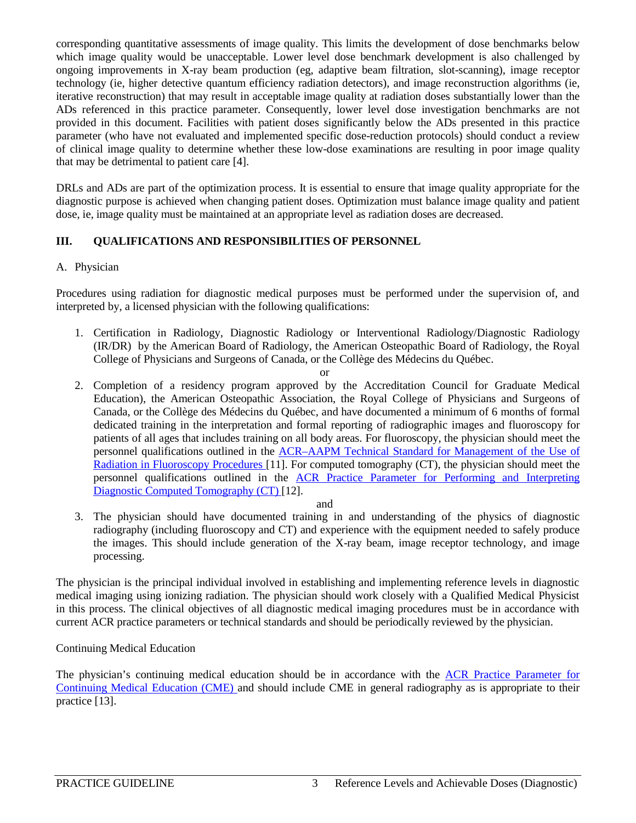corresponding quantitative assessments of image quality. This limits the development of dose benchmarks below which image quality would be unacceptable. Lower level dose benchmark development is also challenged by ongoing improvements in X-ray beam production (eg, adaptive beam filtration, slot-scanning), image receptor technology (ie, higher detective quantum efficiency radiation detectors), and image reconstruction algorithms (ie, iterative reconstruction) that may result in acceptable image quality at radiation doses substantially lower than the ADs referenced in this practice parameter. Consequently, lower level dose investigation benchmarks are not provided in this document. Facilities with patient doses significantly below the ADs presented in this practice parameter (who have not evaluated and implemented specific dose-reduction protocols) should conduct a review of clinical image quality to determine whether these low-dose examinations are resulting in poor image quality that may be detrimental to patient care [\[4\]](#page-9-1).

DRLs and ADs are part of the optimization process. It is essential to ensure that image quality appropriate for the diagnostic purpose is achieved when changing patient doses. Optimization must balance image quality and patient dose, ie, image quality must be maintained at an appropriate level as radiation doses are decreased.

# **III. QUALIFICATIONS AND RESPONSIBILITIES OF PERSONNEL**

#### A. Physician

Procedures using radiation for diagnostic medical purposes must be performed under the supervision of, and interpreted by, a licensed physician with the following qualifications:

1. Certification in Radiology, Diagnostic Radiology or Interventional Radiology/Diagnostic Radiology (IR/DR) by the American Board of Radiology, the American Osteopathic Board of Radiology, the Royal College of Physicians and Surgeons of Canada, or the Collège des Médecins du Québec.

or

2. Completion of a residency program approved by the Accreditation Council for Graduate Medical Education), the American Osteopathic Association, the Royal College of Physicians and Surgeons of Canada, or the Collège des Médecins du Québec, and have documented a minimum of 6 months of formal dedicated training in the interpretation and formal reporting of radiographic images and fluoroscopy for patients of all ages that includes training on all body areas. For fluoroscopy, the physician should meet the personnel qualifications outlined in the **[ACR–AAPM](https://www.acr.org/-/media/ACR/Files/Practice-Parameters/MgmtFluoroProc.pdf)** Technical Standard for Management of the Use of Radiation [in Fluoroscopy](https://www.acr.org/-/media/ACR/Files/Practice-Parameters/MgmtFluoroProc.pdf) Procedures [\[11\]](#page-10-2). For computed tomography (CT), the physician should meet the personnel qualifications outlined in the ACR Practice Parameter for Performing and [Interpreting](https://www.acr.org/-/media/ACR/Files/Practice-Parameters/CT-Perf-Interpret.pdf) Diagnostic Computed [Tomography](https://www.acr.org/-/media/ACR/Files/Practice-Parameters/CT-Perf-Interpret.pdf) (CT) [\[12\]](#page-10-3).

#### and

3. The physician should have documented training in and understanding of the physics of diagnostic radiography (including fluoroscopy and CT) and experience with the equipment needed to safely produce the images. This should include generation of the X-ray beam, image receptor technology, and image processing.

The physician is the principal individual involved in establishing and implementing reference levels in diagnostic medical imaging using ionizing radiation. The physician should work closely with a Qualified Medical Physicist in this process. The clinical objectives of all diagnostic medical imaging procedures must be in accordance with current ACR practice parameters or technical standards and should be periodically reviewed by the physician.

#### Continuing Medical Education

The physician's continuing medical education should be in accordance with the ACR Practice [Parameter](https://www.acr.org/-/media/ACR/Files/Practice-Parameters/CME.pdf) for [Continuing](https://www.acr.org/-/media/ACR/Files/Practice-Parameters/CME.pdf) Medical Education (CME) and should include CME in general radiography as is appropriate to their practice [\[13\]](#page-10-4).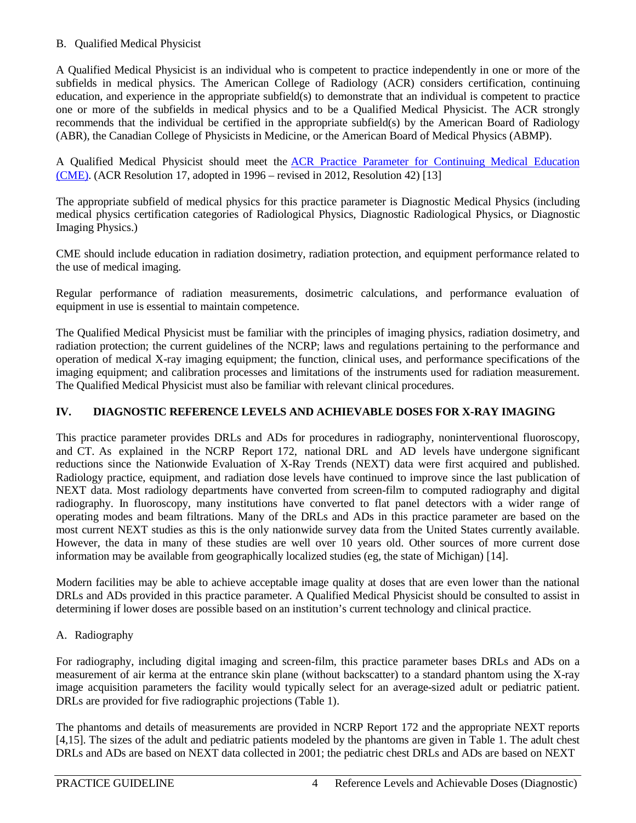#### B. Qualified Medical Physicist

A Qualified Medical Physicist is an individual who is competent to practice independently in one or more of the subfields in medical physics. The American College of Radiology (ACR) considers certification, continuing education, and experience in the appropriate subfield(s) to demonstrate that an individual is competent to practice one or more of the subfields in medical physics and to be a Qualified Medical Physicist. The ACR strongly recommends that the individual be certified in the appropriate subfield(s) by the American Board of Radiology (ABR), the Canadian College of Physicists in Medicine, or the American Board of Medical Physics (ABMP).

A Qualified Medical Physicist should meet the ACR Practice Parameter for [Continuing](https://www.acr.org/-/media/ACR/Files/Practice-Parameters/CME.pdf) Medical Education [\(CME\).](https://www.acr.org/-/media/ACR/Files/Practice-Parameters/CME.pdf) (ACR Resolution 17, adopted in 1996 – revised in 2012, Resolution 42) [\[13\]](#page-10-4)

The appropriate subfield of medical physics for this practice parameter is Diagnostic Medical Physics (including medical physics certification categories of Radiological Physics, Diagnostic Radiological Physics, or Diagnostic Imaging Physics.)

CME should include education in radiation dosimetry, radiation protection, and equipment performance related to the use of medical imaging.

Regular performance of radiation measurements, dosimetric calculations, and performance evaluation of equipment in use is essential to maintain competence.

The Qualified Medical Physicist must be familiar with the principles of imaging physics, radiation dosimetry, and radiation protection; the current guidelines of the NCRP; laws and regulations pertaining to the performance and operation of medical X-ray imaging equipment; the function, clinical uses, and performance specifications of the imaging equipment; and calibration processes and limitations of the instruments used for radiation measurement. The Qualified Medical Physicist must also be familiar with relevant clinical procedures.

#### **IV. DIAGNOSTIC REFERENCE LEVELS AND ACHIEVABLE DOSES FOR X-RAY IMAGING**

This practice parameter provides DRLs and ADs for procedures in radiography, noninterventional fluoroscopy, and CT. As explained in the NCRP Report 172, national DRL and AD levels have undergone significant reductions since the Nationwide Evaluation of X-Ray Trends (NEXT) data were first acquired and published. Radiology practice, equipment, and radiation dose levels have continued to improve since the last publication of NEXT data. Most radiology departments have converted from screen-film to computed radiography and digital radiography. In fluoroscopy, many institutions have converted to flat panel detectors with a wider range of operating modes and beam filtrations. Many of the DRLs and ADs in this practice parameter are based on the most current NEXT studies as this is the only nationwide survey data from the United States currently available. However, the data in many of these studies are well over 10 years old. Other sources of more current dose information may be available from geographically localized studies (eg, the state of Michigan) [\[14\]](#page-10-5).

Modern facilities may be able to achieve acceptable image quality at doses that are even lower than the national DRLs and ADs provided in this practice parameter. A Qualified Medical Physicist should be consulted to assist in determining if lower doses are possible based on an institution's current technology and clinical practice.

#### A. Radiography

For radiography, including digital imaging and screen-film, this practice parameter bases DRLs and ADs on a measurement of air kerma at the entrance skin plane (without backscatter) to a standard phantom using the X-ray image acquisition parameters the facility would typically select for an average-sized adult or pediatric patient. DRLs are provided for five radiographic projections (Table 1).

The phantoms and details of measurements are provided in NCRP Report 172 and the appropriate NEXT report[s](#page-9-1) [\[4](#page-9-1)[,15\]](#page-10-6). The sizes of the adult and pediatric patients modeled by the phantoms are given in Table 1. The adult chest DRLs and ADs are based on NEXT data collected in 2001; the pediatric chest DRLs and ADs are based on NEXT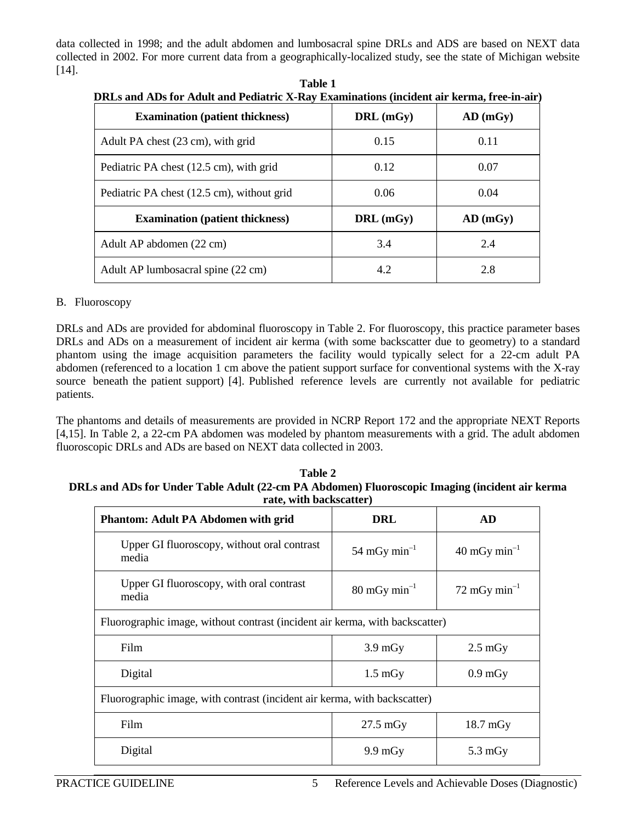data collected in 1998; and the adult abdomen and lumbosacral spine DRLs and ADS are based on NEXT data collected in 2002. For more current data from a geographically-localized study, see the state of Michigan websit[e](#page-10-5) [\[14\]](#page-10-5).

| DADS and the for tradit and I canutic it incrementations (incredit an inclina) if we in an $\mu$ |             |         |  |  |  |  |
|--------------------------------------------------------------------------------------------------|-------------|---------|--|--|--|--|
| <b>Examination</b> (patient thickness)                                                           | $DRL$ (mGy) | AD(mGy) |  |  |  |  |
| Adult PA chest (23 cm), with grid                                                                | 0.15        | 0.11    |  |  |  |  |
| Pediatric PA chest (12.5 cm), with grid                                                          | 0.12        | 0.07    |  |  |  |  |
| Pediatric PA chest (12.5 cm), without grid                                                       | 0.06        | 0.04    |  |  |  |  |
| <b>Examination</b> (patient thickness)                                                           | $DRL$ (mGy) | AD(mGy) |  |  |  |  |
| Adult AP abdomen (22 cm)                                                                         | 3.4         | 2.4     |  |  |  |  |
| Adult AP lumbosacral spine (22 cm)                                                               | 4.2         | 2.8     |  |  |  |  |

**Table 1 DRLs and ADs for Adult and Pediatric X-Ray Examinations (incident air kerma, free-in-air)**

#### B. Fluoroscopy

DRLs and ADs are provided for abdominal fluoroscopy in Table 2. For fluoroscopy, this practice parameter bases DRLs and ADs on a measurement of incident air kerma (with some backscatter due to geometry) to a standard phantom using the image acquisition parameters the facility would typically select for a 22-cm adult PA abdomen (referenced to a location 1 cm above the patient support surface for conventional systems with the X-ray source beneath the patient support) [\[4\]](#page-9-1). Published reference levels are currently not available for pediatric patients.

The phantoms and details of measurements are provided in NCRP Report 172 and the appropriate NEXT Report[s](#page-9-1) [\[4](#page-9-1)[,15\]](#page-10-6). In Table 2, a 22-cm PA abdomen was modeled by phantom measurements with a grid. The adult abdomen fluoroscopic DRLs and ADs are based on NEXT data collected in 2003.

| Table 2                                                                                        |
|------------------------------------------------------------------------------------------------|
| DRLs and ADs for Under Table Adult (22-cm PA Abdomen) Fluoroscopic Imaging (incident air kerma |
| rate, with backscatter)                                                                        |

| <b>Phantom: Adult PA Abdomen with grid</b>                                   | DRL                                            | <b>AD</b>                 |  |  |  |  |
|------------------------------------------------------------------------------|------------------------------------------------|---------------------------|--|--|--|--|
| Upper GI fluoroscopy, without oral contrast<br>media                         | 54 mGy $min^{-1}$                              | $40 \text{ mGy min}^{-1}$ |  |  |  |  |
| Upper GI fluoroscopy, with oral contrast<br>media                            | $80 \text{ mGy min}^{-1}$<br>72 mGy $min^{-1}$ |                           |  |  |  |  |
| Fluorographic image, without contrast (incident air kerma, with backscatter) |                                                |                           |  |  |  |  |
| Film                                                                         | $3.9 \text{ mGy}$<br>$2.5 \text{ mGy}$         |                           |  |  |  |  |
| Digital                                                                      | $1.5 \text{ mGy}$<br>$0.9 \text{ mGy}$         |                           |  |  |  |  |
| Fluorographic image, with contrast (incident air kerma, with backscatter)    |                                                |                           |  |  |  |  |
| Film                                                                         | $27.5 \text{ mGy}$<br>$18.7 \text{ mGy}$       |                           |  |  |  |  |
| Digital                                                                      | $9.9 \text{ mGy}$<br>$5.3 \text{ mGy}$         |                           |  |  |  |  |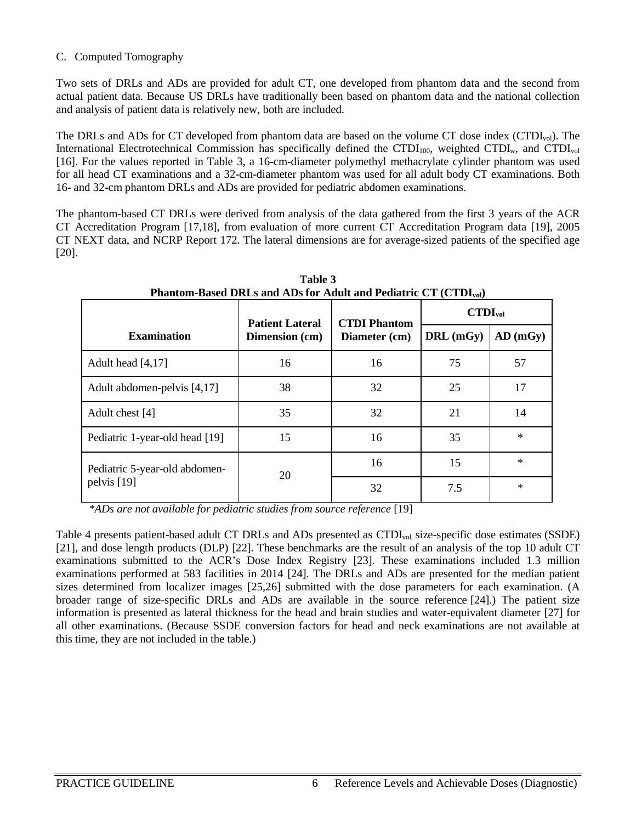# C. Computed Tomography

Two sets of DRLs and ADs are provided for adult CT, one developed from phantom data and the second from actual patient data. Because US DRLs have traditionally been based on phantom data and the national collection and analysis of patient data is relatively new, both are included.

The DRLs and ADs for CT developed from phantom data are based on the volume CT dose index (CTDI<sub>vol</sub>). The International Electrotechnical Commission has specifically defined the CTDI<sub>100</sub>, weighted CTDI<sub>w</sub>, and CTDI<sub>vol</sub> [\[16\]](#page-10-7). For the values reported in Table 3, a 16-cm-diameter polymethyl methacrylate cylinder phantom was used for all head CT examinations and a 32-cm-diameter phantom was used for all adult body CT examinations. Both 16- and 32-cm phantom DRLs and ADs are provided for pediatric abdomen examinations.

The phantom-based CT DRLs were derived from analysis of the data gathered from the first 3 years of the ACR CT Accreditation Program [\[17,18\]](#page-10-8), from evaluation of more current CT Accreditation Program data [\[19\]](#page-10-9), 2005 CT NEXT data, and NCRP Report 172. The lateral dimensions are for average-sized patients of the specified age [\[20\]](#page-10-10).

| $\Gamma$ Halltoni-Dased DKLs and ADs for Addit and Fediatric CT (CTDI <sub>vol</sub> ) |                        |                     |                     |         |  |
|----------------------------------------------------------------------------------------|------------------------|---------------------|---------------------|---------|--|
|                                                                                        | <b>Patient Lateral</b> | <b>CTDI Phantom</b> | CTDI <sub>vol</sub> |         |  |
| <b>Examination</b>                                                                     | Dimension (cm)         | Diameter (cm)       | DRL (mGy)           | AD(mGy) |  |
| Adult head [4,17]                                                                      | 16                     | 16                  | 75                  | 57      |  |
| Adult abdomen-pelvis [4,17]                                                            | 38                     | 32                  | 25                  | 17      |  |
| Adult chest [4]                                                                        | 35                     | 32                  | 21                  | 14      |  |
| Pediatric 1-year-old head [19]                                                         | 15                     | 16                  | 35                  | $\ast$  |  |
| Pediatric 5-year-old abdomen-                                                          | 20                     | 16                  | 15                  | $\ast$  |  |
| pelvis $[19]$                                                                          |                        | 32                  | 7.5                 | $\star$ |  |

**Table 3 Phantom-Based DRLs** and ADs for Adult and Pediatric CT (CTDIv)

*\*ADs are not available for pediatric studies from source reference* [\[19\]](#page-10-9)

Table 4 presents patient-based adult CT DRLs and ADs presented as CTDIvol, size-specific dose estimates (SSDE[\)](#page-10-11) [\[21\]](#page-10-11), and dose length products (DLP) [\[22\]](#page-10-12). These benchmarks are the result of an analysis of the top 10 adult CT examinations submitted to the ACR's Dose Index Registry [\[23\]](#page-10-13). These examinations included 1.3 million examinations performed at 583 facilities in 2014 [\[24\]](#page-10-14). The DRLs and ADs are presented for the median patient sizes determined from localizer images [\[25,26\]](#page-10-15) submitted with the dose parameters for each examination. (A broader range of size-specific DRLs and ADs are available in the source reference [\[24\]](#page-10-14).) The patient size information is presented as lateral thickness for the head and brain studies and water-equivalent diameter [\[27\]](#page-10-16) for all other examinations. (Because SSDE conversion factors for head and neck examinations are not available at this time, they are not included in the table.)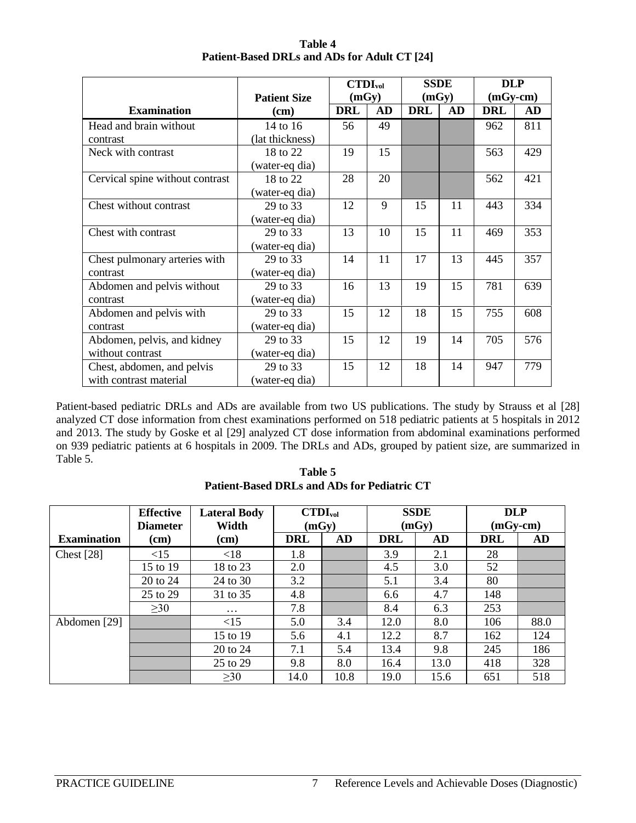|                                 |                     | $\text{CTDI}_{\text{vol}}$ |           | <b>SSDE</b> |           | <b>DLP</b> |           |
|---------------------------------|---------------------|----------------------------|-----------|-------------|-----------|------------|-----------|
|                                 | <b>Patient Size</b> | (mGy)                      |           | (mGy)       |           | $(mGy-cm)$ |           |
| <b>Examination</b>              | (cm)                | <b>DRL</b>                 | <b>AD</b> | <b>DRL</b>  | <b>AD</b> | <b>DRL</b> | <b>AD</b> |
| Head and brain without          | 14 to 16            | 56                         | 49        |             |           | 962        | 811       |
| contrast                        | (lat thickness)     |                            |           |             |           |            |           |
| Neck with contrast              | 18 to 22            | 19                         | 15        |             |           | 563        | 429       |
|                                 | (water-eq dia)      |                            |           |             |           |            |           |
| Cervical spine without contrast | 18 to 22            | 28                         | 20        |             |           | 562        | 421       |
|                                 | (water-eq dia)      |                            |           |             |           |            |           |
| Chest without contrast          | 29 to 33            | 12                         | 9         | 15          | 11        | 443        | 334       |
|                                 | (water-eq dia)      |                            |           |             |           |            |           |
| Chest with contrast             | 29 to 33            | 13                         | 10        | 15          | 11        | 469        | 353       |
|                                 | (water-eq dia)      |                            |           |             |           |            |           |
| Chest pulmonary arteries with   | 29 to 33            | 14                         | 11        | 17          | 13        | 445        | 357       |
| contrast                        | (water-eq dia)      |                            |           |             |           |            |           |
| Abdomen and pelvis without      | 29 to 33            | 16                         | 13        | 19          | 15        | 781        | 639       |
| contrast                        | (water-eq dia)      |                            |           |             |           |            |           |
| Abdomen and pelvis with         | 29 to 33            | 15                         | 12        | 18          | 15        | 755        | 608       |
| contrast                        | (water-eq dia)      |                            |           |             |           |            |           |
| Abdomen, pelvis, and kidney     | 29 to 33            | 15                         | 12        | 19          | 14        | 705        | 576       |
| without contrast                | (water-eq dia)      |                            |           |             |           |            |           |
| Chest, abdomen, and pelvis      | 29 to 33            | 15                         | 12        | 18          | 14        | 947        | 779       |
| with contrast material          | (water-eq dia)      |                            |           |             |           |            |           |

**Table 4 Patient-Based DRLs and ADs for Adult CT [\[24\]](#page-10-14)**

Patient-based pediatric DRLs and ADs are available from two US publications. The study by Strauss et al [\[28\]](#page-10-17) analyzed CT dose information from chest examinations performed on 518 pediatric patients at 5 hospitals in 2012 and 2013. The study by Goske et al [\[29\]](#page-11-1) analyzed CT dose information from abdominal examinations performed on 939 pediatric patients at 6 hospitals in 2009. The DRLs and ADs, grouped by patient size, are summarized in Table 5.

|                    | <b>Effective</b><br><b>Diameter</b> | <b>Lateral Body</b><br>Width | $\text{CTDI}_{\text{vol}}$<br>(mGy) |      | <b>SSDE</b><br>(mGy) |      | <b>DLP</b><br>$(mGy-cm)$ |      |
|--------------------|-------------------------------------|------------------------------|-------------------------------------|------|----------------------|------|--------------------------|------|
| <b>Examination</b> | (cm)                                | (cm)                         | <b>DRL</b>                          | AD   | <b>DRL</b>           | AD   | <b>DRL</b>               | AD   |
| Chest $[28]$       | <15                                 | < 18                         | 1.8                                 |      | 3.9                  | 2.1  | 28                       |      |
|                    | 15 to 19                            | 18 to 23                     | 2.0                                 |      | 4.5                  | 3.0  | 52                       |      |
|                    | 20 to 24                            | 24 to 30                     | 3.2                                 |      | 5.1                  | 3.4  | 80                       |      |
|                    | 25 to 29                            | 31 to 35                     | 4.8                                 |      | 6.6                  | 4.7  | 148                      |      |
|                    | $\geq 30$                           | $\cdots$                     | 7.8                                 |      | 8.4                  | 6.3  | 253                      |      |
| Abdomen [29]       |                                     | <15                          | 5.0                                 | 3.4  | 12.0                 | 8.0  | 106                      | 88.0 |
|                    |                                     | 15 to 19                     | 5.6                                 | 4.1  | 12.2                 | 8.7  | 162                      | 124  |
|                    |                                     | 20 to 24                     | 7.1                                 | 5.4  | 13.4                 | 9.8  | 245                      | 186  |
|                    |                                     | 25 to 29                     | 9.8                                 | 8.0  | 16.4                 | 13.0 | 418                      | 328  |
|                    |                                     | $\geq 30$                    | 14.0                                | 10.8 | 19.0                 | 15.6 | 651                      | 518  |

**Table 5 Patient-Based DRLs and ADs for Pediatric CT**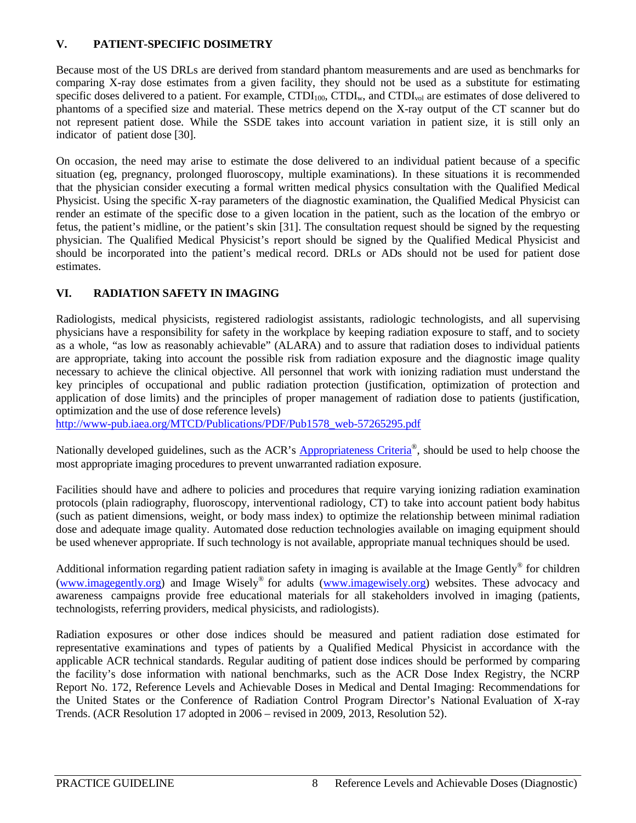### **V. PATIENT-SPECIFIC DOSIMETRY**

Because most of the US DRLs are derived from standard phantom measurements and are used as benchmarks for comparing X-ray dose estimates from a given facility, they should not be used as a substitute for estimating specific doses delivered to a patient. For example, CTDI<sub>100</sub>, CTDI<sub>w</sub>, and CTDI<sub>vol</sub> are estimates of dose delivered to phantoms of a specified size and material. These metrics depend on the X-ray output of the CT scanner but do not represent patient dose. While the SSDE takes into account variation in patient size, it is still only an indicator of patient dose [\[30\]](#page-11-2).

On occasion, the need may arise to estimate the dose delivered to an individual patient because of a specific situation (eg, pregnancy, prolonged fluoroscopy, multiple examinations). In these situations it is recommended that the physician consider executing a formal written medical physics consultation with the Qualified Medical Physicist. Using the specific X-ray parameters of the diagnostic examination, the Qualified Medical Physicist can render an estimate of the specific dose to a given location in the patient, such as the location of the embryo or fetus, the patient's midline, or the patient's skin [\[31\]](#page-11-3). The consultation request should be signed by the requesting physician. The Qualified Medical Physicist's report should be signed by the Qualified Medical Physicist and should be incorporated into the patient's medical record. DRLs or ADs should not be used for patient dose estimates.

# **VI. RADIATION SAFETY IN IMAGING**

Radiologists, medical physicists, registered radiologist assistants, radiologic technologists, and all supervising physicians have a responsibility for safety in the workplace by keeping radiation exposure to staff, and to society as a whole, "as low as reasonably achievable" (ALARA) and to assure that radiation doses to individual patients are appropriate, taking into account the possible risk from radiation exposure and the diagnostic image quality necessary to achieve the clinical objective. All personnel that work with ionizing radiation must understand the key principles of occupational and public radiation protection (justification, optimization of protection and application of dose limits) and the principles of proper management of radiation dose to patients (justification, optimization and the use of dose reference levels)

[http://www-pub.iaea.org/MTCD/Publications/PDF/Pub1578\\_web-57265295.pdf](http://www-pub.iaea.org/MTCD/Publications/PDF/Pub1578_web-57265295.pdf)

Nationally developed guidelines, such as the ACR's [Appropriateness](http://www.acr.org/Quality-Safety/Appropriateness-Criteria) Criteria<sup>®</sup>, should be used to help choose the most appropriate imaging procedures to prevent unwarranted radiation exposure.

Facilities should have and adhere to policies and procedures that require varying ionizing radiation examination protocols (plain radiography, fluoroscopy, interventional radiology, CT) to take into account patient body habitus (such as patient dimensions, weight, or body mass index) to optimize the relationship between minimal radiation dose and adequate image quality. Automated dose reduction technologies available on imaging equipment should be used whenever appropriate. If such technology is not available, appropriate manual techniques should be used.

Additional information regarding patient radiation safety in imaging is available at the Image Gently® for children [\(www.imagegently.org\)](http://www.imagegently.org/) and Image Wisely® for adults [\(www.imagewisely.org\)](http://www.imagewisely.org/) websites. These advocacy and awareness campaigns provide free educational materials for all stakeholders involved in imaging (patients, technologists, referring providers, medical physicists, and radiologists).

Radiation exposures or other dose indices should be measured and patient radiation dose estimated for representative examinations and types of patients by a Qualified Medical Physicist in accordance with the applicable ACR technical standards. Regular auditing of patient dose indices should be performed by comparing the facility's dose information with national benchmarks, such as the ACR Dose Index Registry, the NCRP Report No. 172, Reference Levels and Achievable Doses in Medical and Dental Imaging: Recommendations for the United States or the Conference of Radiation Control Program Director's National Evaluation of X-ray Trends. (ACR Resolution 17 adopted in 2006 – revised in 2009, 2013, Resolution 52).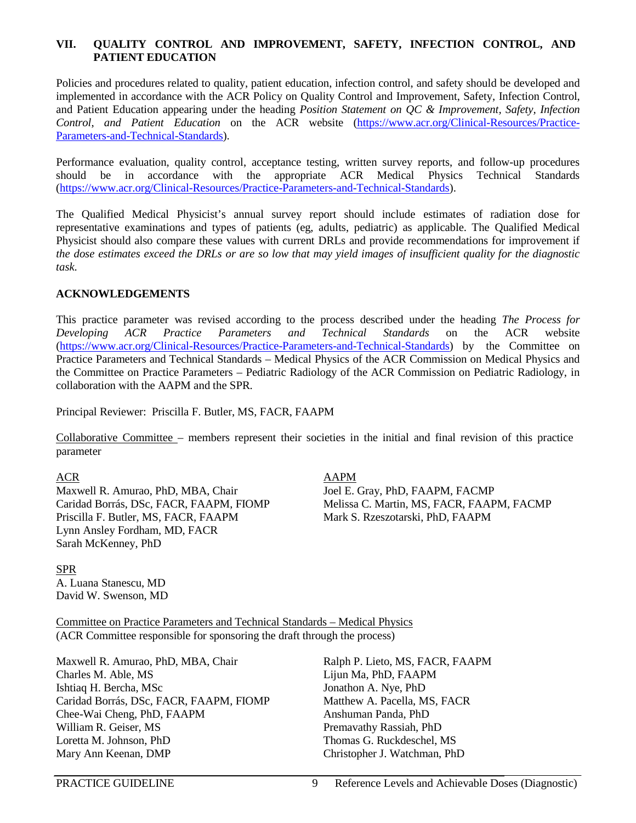#### **VII. QUALITY CONTROL AND IMPROVEMENT, SAFETY, INFECTION CONTROL, AND PATIENT EDUCATION**

Policies and procedures related to quality, patient education, infection control, and safety should be developed and implemented in accordance with the ACR Policy on Quality Control and Improvement, Safety, Infection Control, and Patient Education appearing under the heading *Position Statement on QC & Improvement, Safety, Infection Control*, *and Patient Education* on the ACR website [\(https://www.acr.org/Clinical-Resources/Practice-](https://www.acr.org/Clinical-Resources/Practice-Parameters-and-Technical-Standards)[Parameters-and-Technical-Standards\)](https://www.acr.org/Clinical-Resources/Practice-Parameters-and-Technical-Standards).

Performance evaluation, quality control, acceptance testing, written survey reports, and follow-up procedures should be in accordance with the appropriate ACR Medical Physics Technical Standards [\(https://www.acr.org/Clinical-Resources/Practice-Parameters-and-Technical-Standards\)](https://www.acr.org/Clinical-Resources/Practice-Parameters-and-Technical-Standards).

The Qualified Medical Physicist's annual survey report should include estimates of radiation dose for representative examinations and types of patients (eg, adults, pediatric) as applicable. The Qualified Medical Physicist should also compare these values with current DRLs and provide recommendations for improvement if the dose estimates exceed the DRLs or are so low that may yield images of insufficient quality for the diagnostic *task.*

#### **ACKNOWLEDGEMENTS**

This practice parameter was revised according to the process described under the heading *The Process for Developing ACR Practice Parameters and Technical Standards* on the ACR website [\(https://www.acr.org/Clinical-Resources/Practice-Parameters-and-Technical-Standards\)](https://www.acr.org/Clinical-Resources/Practice-Parameters-and-Technical-Standards) by the Committee on Practice Parameters and Technical Standards – Medical Physics of the ACR Commission on Medical Physics and the Committee on Practice Parameters – Pediatric Radiology of the ACR Commission on Pediatric Radiology, in collaboration with the AAPM and the SPR.

Principal Reviewer: Priscilla F. Butler, MS, FACR, FAAPM

Collaborative Committee – members represent their societies in the initial and final revision of this practice parameter

Maxwell R. Amurao, PhD, MBA, Chair Joel E. Gray, PhD, FAAPM, FACMP Priscilla F. Butler, MS, FACR, FAAPM Lynn Ansley Fordham, MD, FACR Sarah McKenney, PhD

# ACR AAPM

Caridad Borrás, DSc, FACR, FAAPM, FIOMP Melissa C. Martin, MS, FACR, FAAPM, FACMP Mark S. Rzeszotarski, PhD, FAAPM

#### SPR

A. Luana Stanescu, MD David W. Swenson, MD

Committee on Practice Parameters and Technical Standards – Medical Physics (ACR Committee responsible for sponsoring the draft through the process)

Maxwell R. Amurao, PhD, MBA, Chair Ralph P. Lieto, MS, FACR, FAAPM Charles M. Able, MS Lijun Ma, PhD, FAAPM Ishtiaq H. Bercha, MSc Jonathon A. Nye, PhD Caridad Borrás, DSc, FACR, FAAPM, FIOMP Matthew A. Pacella, MS, FACR Chee-Wai Cheng, PhD, FAAPM Anshuman Panda, PhD William R. Geiser, MS **Premavathy Rassiah**, PhD Loretta M. Johnson, PhD Thomas G. Ruckdeschel, MS Mary Ann Keenan, DMP Christopher J. Watchman, PhD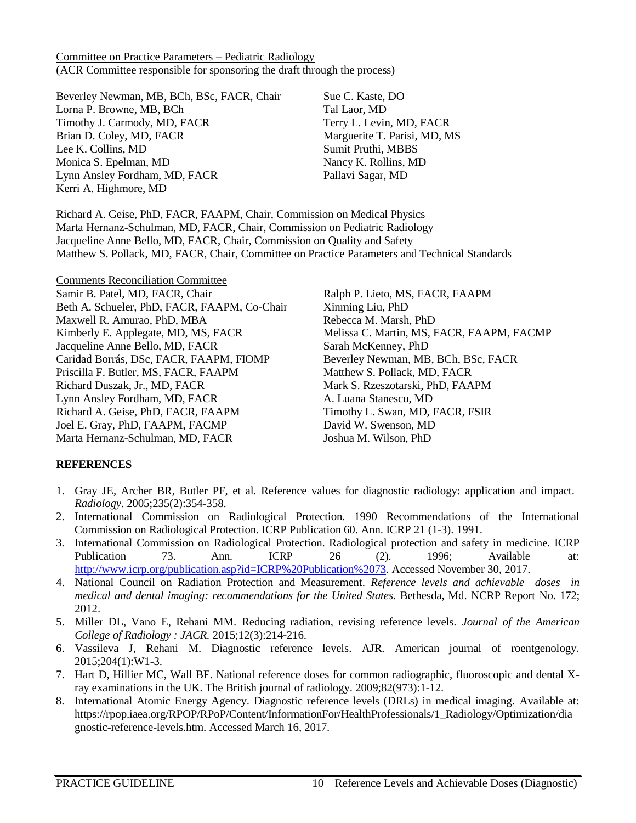Committee on Practice Parameters – Pediatric Radiology (ACR Committee responsible for sponsoring the draft through the process)

| Beverley Newman, MB, BCh, BSc, FACR, Chair | Sue C. Kaste, DO             |
|--------------------------------------------|------------------------------|
| Lorna P. Browne, MB, BCh                   | Tal Laor, MD                 |
| Timothy J. Carmody, MD, FACR               | Terry L. Levin, MD, FACR     |
| Brian D. Coley, MD, FACR                   | Marguerite T. Parisi, MD, MS |
| Lee K. Collins, MD                         | Sumit Pruthi, MBBS           |
| Monica S. Epelman, MD                      | Nancy K. Rollins, MD         |
| Lynn Ansley Fordham, MD, FACR              | Pallavi Sagar, MD            |
| Kerri A. Highmore, MD                      |                              |

Richard A. Geise, PhD, FACR, FAAPM, Chair, Commission on Medical Physics Marta Hernanz-Schulman, MD, FACR, Chair, Commission on Pediatric Radiology Jacqueline Anne Bello, MD, FACR, Chair, Commission on Quality and Safety Matthew S. Pollack, MD, FACR, Chair, Committee on Practice Parameters and Technical Standards

Comments Reconciliation Committee Samir B. Patel, MD, FACR, Chair Ralph P. Lieto, MS, FACR, FAAPM Beth A. Schueler, PhD, FACR, FAAPM, Co-Chair Xinming Liu, PhD Maxwell R. Amurao, PhD, MBA Rebecca M. Marsh, PhD Kimberly E. Applegate, MD, MS, FACR Melissa C. Martin, MS, FACR, FAAPM, FACMP Jacqueline Anne Bello, MD, FACR Sarah McKenney, PhD Caridad Borrás, DSc, FACR, FAAPM, FIOMP Beverley Newman, MB, BCh, BSc, FACR Priscilla F. Butler, MS, FACR, FAAPM Matthew S. Pollack, MD, FACR Richard Duszak, Jr., MD, FACR Mark S. Rzeszotarski, PhD, FAAPM Lynn Ansley Fordham, MD, FACR A. Luana Stanescu, MD Richard A. Geise, PhD, FACR, FAAPM Timothy L. Swan, MD, FACR, FSIR Joel E. Gray, PhD, FAAPM, FACMP David W. Swenson, MD Marta Hernanz-Schulman, MD, FACR Joshua M. Wilson, PhD

#### **REFERENCES**

- <span id="page-9-0"></span>1. Gray JE, Archer BR, Butler PF, et al. Reference values for diagnostic radiology: application and impact. *Radiology.* 2005;235(2):354-358.
- 2. International Commission on Radiological Protection. 1990 Recommendations of the International Commission on Radiological Protection. ICRP Publication 60. Ann. ICRP 21 (1-3). 1991.
- 3. International Commission on Radiological Protection. Radiological protection and safety in medicine. ICRP Publication 73. Ann. ICRP 26 (2). 1996: Available at: Publication 73. Ann. ICRP 26 (2). 1996; Available at: [http://www.icrp.org/publication.asp?id=ICRP%20Publication%2073.](http://www.icrp.org/publication.asp?id=ICRP%20Publication%2073) Accessed November 30, 2017.
- <span id="page-9-1"></span>4. National Council on Radiation Protection and Measurement. *Reference levels and achievable doses in medical and dental imaging: recommendations for the United States.* Bethesda, Md. NCRP Report No. 172; 2012.
- 5. Miller DL, Vano E, Rehani MM. Reducing radiation, revising reference levels. *Journal of the American College of Radiology : JACR.* 2015;12(3):214-216.
- 6. Vassileva J, Rehani M. Diagnostic reference levels. AJR. American journal of roentgenology. 2015;204(1):W1-3.
- 7. Hart D, Hillier MC, Wall BF. National reference doses for common radiographic, fluoroscopic and dental Xray examinations in the UK. The British journal of radiology. 2009;82(973):1-12.
- 8. International Atomic Energy Agency. Diagnostic reference levels (DRLs) in medical imaging. Available at: https://rpop.iaea.org/RPOP/RPoP/Content/InformationFor/HealthProfessionals/1\_Radiology/Optimization/dia gnostic-reference-levels.htm. Accessed March 16, 2017.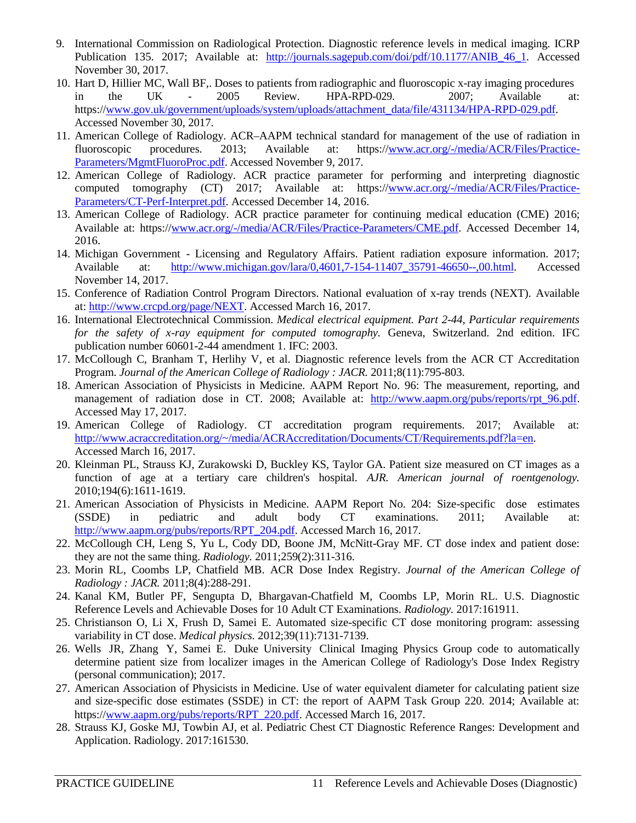- <span id="page-10-0"></span>9. International Commission on Radiological Protection. Diagnostic reference levels in medical imaging. ICRP Publication 135. 2017; Available at: http://journals.sagepub.com/doi/pdf/10.1177/ANIB 46 1. Accessed November 30, 2017.
- <span id="page-10-1"></span>10. Hart D, Hillier MC, Wall BF,. Doses to patients from radiographic and fluoroscopic x-ray imaging procedures in the UK - 2005 Review. HPA-RPD-029. 2007; Available at: https[://www.gov.uk/government/uploads/system/uploads/attachment\\_data/file/431134/HPA-RPD-029.pdf.](http://www.gov.uk/government/uploads/system/uploads/attachment_data/file/431134/HPA-RPD-029.pdf) Accessed November 30, 2017.
- <span id="page-10-2"></span>11. American College of Radiology. ACR–AAPM technical standard for management of the use of radiation in fluoroscopic procedures. 2013; Available at: https:/[/www.acr.org/-/media/ACR/Files/Practice-](http://www.acr.org/-/media/ACR/Files/Practice-Parameters/MgmtFluoroProc.pdf)[Parameters/MgmtFluoroProc.pdf.](http://www.acr.org/-/media/ACR/Files/Practice-Parameters/MgmtFluoroProc.pdf) Accessed November 9, 2017.
- <span id="page-10-3"></span>12. American College of Radiology. ACR practice parameter for performing and interpreting diagnostic computed tomography (CT) 2017; Available at: https:/[/www.acr.org/-/media/ACR/Files/Practice-](http://www.acr.org/-/media/ACR/Files/Practice-Parameters/CT-Perf-Interpret.pdf)[Parameters/CT-Perf-Interpret.pdf.](http://www.acr.org/-/media/ACR/Files/Practice-Parameters/CT-Perf-Interpret.pdf) Accessed December 14, 2016.
- <span id="page-10-4"></span>13. American College of Radiology. ACR practice parameter for continuing medical education (CME) 2016; Available at: https:/[/www.acr.org/-/media/ACR/Files/Practice-Parameters/CME.pdf.](http://www.acr.org/-/media/ACR/Files/Practice-Parameters/CME.pdf) Accessed December 14, 2016.
- <span id="page-10-5"></span>14. Michigan Government - Licensing and Regulatory Affairs. Patient radiation exposure information. 2017; Available at: [http://www.michigan.gov/lara/0,4601,7-154-11407\\_35791-46650--,00.html.](http://www.michigan.gov/lara/0%2C4601%2C7-154-11407_35791-46650--%2C00.html) Accessed November 14, 2017.
- <span id="page-10-6"></span>15. Conference of Radiation Control Program Directors. National evaluation of x-ray trends (NEXT). Available at: [http://www.crcpd.org/page/NEXT.](http://www.crcpd.org/page/NEXT) Accessed March 16, 2017.
- <span id="page-10-7"></span>16. International Electrotechnical Commission. *Medical electrical equipment. Part 2-44, Particular requirements for the safety of x-ray equipment for computed tomography.* Geneva, Switzerland. 2nd edition. IFC publication number 60601-2-44 amendment 1. IFC: 2003.
- <span id="page-10-8"></span>17. McCollough C, Branham T, Herlihy V, et al. Diagnostic reference levels from the ACR CT Accreditation Program. *Journal of the American College of Radiology : JACR.* 2011;8(11):795-803.
- 18. American Association of Physicists in Medicine. AAPM Report No. 96: The measurement, reporting, and management of radiation dose in CT. 2008; Available at: [http://www.aapm.org/pubs/reports/rpt\\_96.pdf.](http://www.aapm.org/pubs/reports/rpt_96.pdf) Accessed May 17, 2017.
- <span id="page-10-9"></span>19. American College of Radiology. CT accreditation program requirements. 2017; Available at: [http://www.acraccreditation.org/~/media/ACRAccreditation/Documents/CT/Requirements.pdf?la=en.](http://www.acraccreditation.org/%7E/media/ACRAccreditation/Documents/CT/Requirements.pdf?la=en) Accessed March 16, 2017.
- <span id="page-10-10"></span>20. Kleinman PL, Strauss KJ, Zurakowski D, Buckley KS, Taylor GA. Patient size measured on CT images as a function of age at a tertiary care children's hospital. *AJR. American journal of roentgenology.* 2010;194(6):1611-1619.
- <span id="page-10-11"></span>21. American Association of Physicists in Medicine. AAPM Report No. 204: Size-specific dose estimates (SSDE) in pediatric and adult body CT examinations. 2011; Available at: [http://www.aapm.org/pubs/reports/RPT\\_204.pdf.](http://www.aapm.org/pubs/reports/RPT_204.pdf) Accessed March 16, 2017.
- <span id="page-10-12"></span>22. McCollough CH, Leng S, Yu L, Cody DD, Boone JM, McNitt-Gray MF. CT dose index and patient dose: they are not the same thing. *Radiology.* 2011;259(2):311-316.
- <span id="page-10-13"></span>23. Morin RL, Coombs LP, Chatfield MB. ACR Dose Index Registry. *Journal of the American College of Radiology : JACR.* 2011;8(4):288-291.
- <span id="page-10-14"></span>24. Kanal KM, Butler PF, Sengupta D, Bhargavan-Chatfield M, Coombs LP, Morin RL. U.S. Diagnostic Reference Levels and Achievable Doses for 10 Adult CT Examinations. *Radiology.* 2017:161911.
- <span id="page-10-15"></span>25. Christianson O, Li X, Frush D, Samei E. Automated size-specific CT dose monitoring program: assessing variability in CT dose. *Medical physics.* 2012;39(11):7131-7139.
- 26. Wells JR, Zhang Y, Samei E. Duke University Clinical Imaging Physics Group code to automatically determine patient size from localizer images in the American College of Radiology's Dose Index Registry (personal communication); 2017.
- <span id="page-10-16"></span>27. American Association of Physicists in Medicine. Use of water equivalent diameter for calculating patient size and size-specific dose estimates (SSDE) in CT: the report of AAPM Task Group 220. 2014; Available at: https[://www.aapm.org/pubs/reports/RPT\\_220.pdf.](http://www.aapm.org/pubs/reports/RPT_220.pdf) Accessed March 16, 2017.
- <span id="page-10-17"></span>28. Strauss KJ, Goske MJ, Towbin AJ, et al. Pediatric Chest CT Diagnostic Reference Ranges: Development and Application. Radiology. 2017:161530.